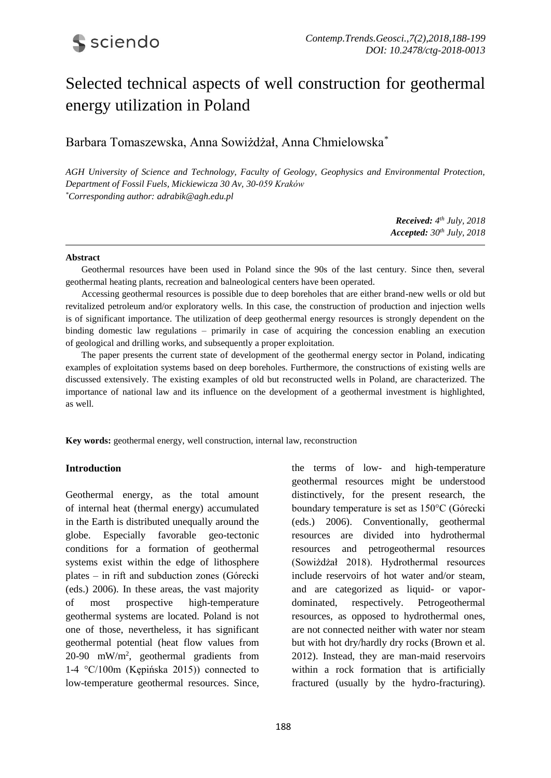# Selected technical aspects of well construction for geothermal energy utilization in Poland

Barbara Tomaszewska, Anna Sowiżdżał, Anna Chmielowska\*

*AGH University of Science and Technology, Faculty of Geology, Geophysics and Environmental Protection, Department of Fossil Fuels, Mickiewicza 30 Av, 30-059 Kraków \*Corresponding author: adrabik@agh.edu.pl*

> *Received: 4 th July, 2018 Accepted: 30th July, 2018*

#### **Abstract**

Geothermal resources have been used in Poland since the 90s of the last century. Since then, several geothermal heating plants, recreation and balneological centers have been operated.

Accessing geothermal resources is possible due to deep boreholes that are either brand-new wells or old but revitalized petroleum and/or exploratory wells. In this case, the construction of production and injection wells is of significant importance. The utilization of deep geothermal energy resources is strongly dependent on the binding domestic law regulations – primarily in case of acquiring the concession enabling an execution of geological and drilling works, and subsequently a proper exploitation.

The paper presents the current state of development of the geothermal energy sector in Poland, indicating examples of exploitation systems based on deep boreholes. Furthermore, the constructions of existing wells are discussed extensively. The existing examples of old but reconstructed wells in Poland, are characterized. The importance of national law and its influence on the development of a geothermal investment is highlighted, as well.

**Key words:** geothermal energy, well construction, internal law, reconstruction

#### **Introduction**

Geothermal energy, as the total amount of internal heat (thermal energy) accumulated in the Earth is distributed unequally around the globe. Especially favorable geo-tectonic conditions for a formation of geothermal systems exist within the edge of lithosphere plates – in rift and subduction zones (Górecki (eds.) 2006). In these areas, the vast majority of most prospective high-temperature geothermal systems are located. Poland is not one of those, nevertheless, it has significant geothermal potential (heat flow values from  $20-90$  mW/m<sup>2</sup>, geothermal gradients from 1-4 °C/100m (Kępińska 2015)) connected to low-temperature geothermal resources. Since, the terms of low- and high-temperature geothermal resources might be understood distinctively, for the present research, the boundary temperature is set as 150°C (Górecki (eds.) 2006). Conventionally, geothermal resources are divided into hydrothermal resources and petrogeothermal resources (Sowiżdżał 2018). Hydrothermal resources include reservoirs of hot water and/or steam, and are categorized as liquid- or vapordominated, respectively. Petrogeothermal resources, as opposed to hydrothermal ones, are not connected neither with water nor steam but with hot dry/hardly dry rocks (Brown et al. 2012). Instead, they are man-maid reservoirs within a rock formation that is artificially fractured (usually by the hydro-fracturing).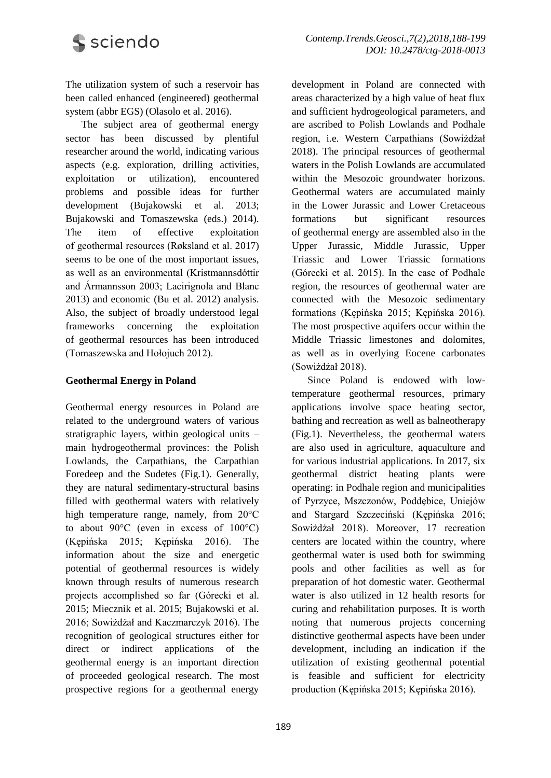

The utilization system of such a reservoir has been called enhanced (engineered) geothermal system (abbr EGS) (Olasolo et al. 2016).

The subject area of geothermal energy sector has been discussed by plentiful researcher around the world, indicating various aspects (e.g. exploration, drilling activities, exploitation or utilization), encountered problems and possible ideas for further development (Bujakowski et al. 2013; Bujakowski and Tomaszewska (eds.) 2014). The item of effective exploitation of geothermal resources (Røksland et al. 2017) seems to be one of the most important issues, as well as an environmental (Kristmannsdóttir and Ármannsson 2003; Lacirignola and Blanc 2013) and economic (Bu et al. 2012) analysis. Also, the subject of broadly understood legal frameworks concerning the exploitation of geothermal resources has been introduced (Tomaszewska and Hołojuch 2012).

### **Geothermal Energy in Poland**

Geothermal energy resources in Poland are related to the underground waters of various stratigraphic layers, within geological units – main hydrogeothermal provinces: the Polish Lowlands, the Carpathians, the Carpathian Foredeep and the Sudetes (Fig.1). Generally, they are natural sedimentary-structural basins filled with geothermal waters with relatively high temperature range, namely, from 20°C to about 90°C (even in excess of 100°C) (Kępińska 2015; Kępińska 2016). The information about the size and energetic potential of geothermal resources is widely known through results of numerous research projects accomplished so far (Górecki et al. 2015; Miecznik et al. 2015; Bujakowski et al. 2016; Sowiżdżał and Kaczmarczyk 2016). The recognition of geological structures either for direct or indirect applications of the geothermal energy is an important direction of proceeded geological research. The most prospective regions for a geothermal energy

development in Poland are connected with areas characterized by a high value of heat flux and sufficient hydrogeological parameters, and are ascribed to Polish Lowlands and Podhale region, i.e. Western Carpathians (Sowiżdżał 2018). The principal resources of geothermal waters in the Polish Lowlands are accumulated within the Mesozoic groundwater horizons. Geothermal waters are accumulated mainly in the Lower Jurassic and Lower Cretaceous formations but significant resources of geothermal energy are assembled also in the Upper Jurassic, Middle Jurassic, Upper Triassic and Lower Triassic formations (Górecki et al. 2015). In the case of Podhale region, the resources of geothermal water are connected with the Mesozoic sedimentary formations (Kępińska 2015; Kępińska 2016). The most prospective aquifers occur within the Middle Triassic limestones and dolomites, as well as in overlying Eocene carbonates (Sowiżdżał 2018).

Since Poland is endowed with lowtemperature geothermal resources, primary applications involve space heating sector, bathing and recreation as well as balneotherapy (Fig.1). Nevertheless, the geothermal waters are also used in agriculture, aquaculture and for various industrial applications. In 2017, six geothermal district heating plants were operating: in Podhale region and municipalities of Pyrzyce, Mszczonów, Poddębice, Uniejów and Stargard Szczeciński (Kępińska 2016; Sowiżdżał 2018). Moreover, 17 recreation centers are located within the country, where geothermal water is used both for swimming pools and other facilities as well as for preparation of hot domestic water. Geothermal water is also utilized in 12 health resorts for curing and rehabilitation purposes. It is worth noting that numerous projects concerning distinctive geothermal aspects have been under development, including an indication if the utilization of existing geothermal potential is feasible and sufficient for electricity production (Kępińska 2015; Kępińska 2016).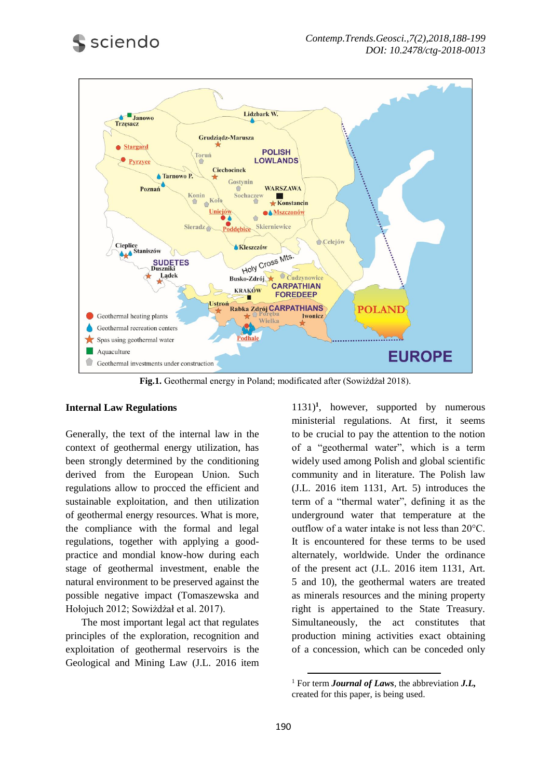

**Fig.1.** Geothermal energy in Poland; modificated after (Sowiżdżał 2018).

### **Internal Law Regulations**

Generally, the text of the internal law in the context of geothermal energy utilization, has been strongly determined by the conditioning derived from the European Union. Such regulations allow to procced the efficient and sustainable exploitation, and then utilization of geothermal energy resources. What is more, the compliance with the formal and legal regulations, together with applying a goodpractice and mondial know-how during each stage of geothermal investment, enable the natural environment to be preserved against the possible negative impact (Tomaszewska and Hołojuch 2012; Sowiżdżał et al. 2017).

The most important legal act that regulates principles of the exploration, recognition and exploitation of geothermal reservoirs is the Geological and Mining Law (J.L. 2016 item 1131)**<sup>1</sup>** , however, supported by numerous ministerial regulations. At first, it seems to be crucial to pay the attention to the notion of a "geothermal water", which is a term widely used among Polish and global scientific community and in literature. The Polish law (J.L. 2016 item 1131, Art. 5) introduces the term of a "thermal water", defining it as the underground water that temperature at the outflow of a water intake is not less than 20°C. It is encountered for these terms to be used alternately, worldwide. Under the ordinance of the present act (J.L. 2016 item 1131, Art. 5 and 10), the geothermal waters are treated as minerals resources and the mining property right is appertained to the State Treasury. Simultaneously, the act constitutes that production mining activities exact obtaining of a concession, which can be conceded only

1

<sup>1</sup> For term *Journal of Laws*, the abbreviation *J.L,* created for this paper, is being used.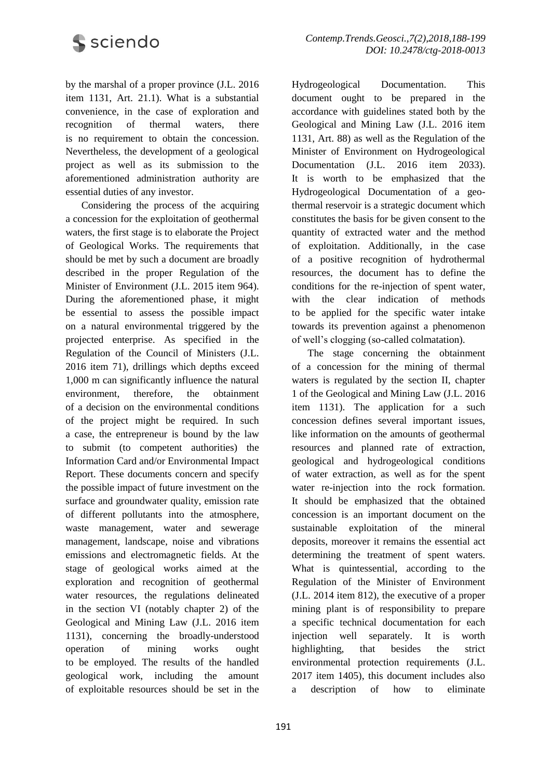

by the marshal of a proper province (J.L. 2016 item 1131, Art. 21.1). What is a substantial convenience, in the case of exploration and recognition of thermal waters, there is no requirement to obtain the concession. Nevertheless, the development of a geological project as well as its submission to the aforementioned administration authority are essential duties of any investor.

Considering the process of the acquiring a concession for the exploitation of geothermal waters, the first stage is to elaborate the Project of Geological Works. The requirements that should be met by such a document are broadly described in the proper Regulation of the Minister of Environment (J.L. 2015 item 964). During the aforementioned phase, it might be essential to assess the possible impact on a natural environmental triggered by the projected enterprise. As specified in the Regulation of the Council of Ministers (J.L. 2016 item 71), drillings which depths exceed 1,000 m can significantly influence the natural environment, therefore, the obtainment of a decision on the environmental conditions of the project might be required. In such a case, the entrepreneur is bound by the law to submit (to competent authorities) the Information Card and/or Environmental Impact Report. These documents concern and specify the possible impact of future investment on the surface and groundwater quality, emission rate of different pollutants into the atmosphere, waste management, water and sewerage management, landscape, noise and vibrations emissions and electromagnetic fields. At the stage of geological works aimed at the exploration and recognition of geothermal water resources, the regulations delineated in the section VI (notably chapter 2) of the Geological and Mining Law (J.L. 2016 item 1131), concerning the broadly-understood operation of mining works ought to be employed. The results of the handled geological work, including the amount of exploitable resources should be set in the Hydrogeological Documentation. This document ought to be prepared in the accordance with guidelines stated both by the Geological and Mining Law (J.L. 2016 item 1131, Art. 88) as well as the Regulation of the Minister of Environment on Hydrogeological Documentation (J.L. 2016 item 2033). It is worth to be emphasized that the Hydrogeological Documentation of a geothermal reservoir is a strategic document which constitutes the basis for be given consent to the quantity of extracted water and the method of exploitation. Additionally, in the case of a positive recognition of hydrothermal resources, the document has to define the conditions for the re-injection of spent water, with the clear indication of methods to be applied for the specific water intake towards its prevention against a phenomenon of well's clogging (so-called colmatation).

The stage concerning the obtainment of a concession for the mining of thermal waters is regulated by the section II, chapter 1 of the Geological and Mining Law (J.L. 2016 item 1131). The application for a such concession defines several important issues, like information on the amounts of geothermal resources and planned rate of extraction, geological and hydrogeological conditions of water extraction, as well as for the spent water re-injection into the rock formation. It should be emphasized that the obtained concession is an important document on the sustainable exploitation of the mineral deposits, moreover it remains the essential act determining the treatment of spent waters. What is quintessential, according to the Regulation of the Minister of Environment (J.L. 2014 item 812), the executive of a proper mining plant is of responsibility to prepare a specific technical documentation for each injection well separately. It is worth highlighting, that besides the strict environmental protection requirements (J.L. 2017 item 1405), this document includes also a description of how to eliminate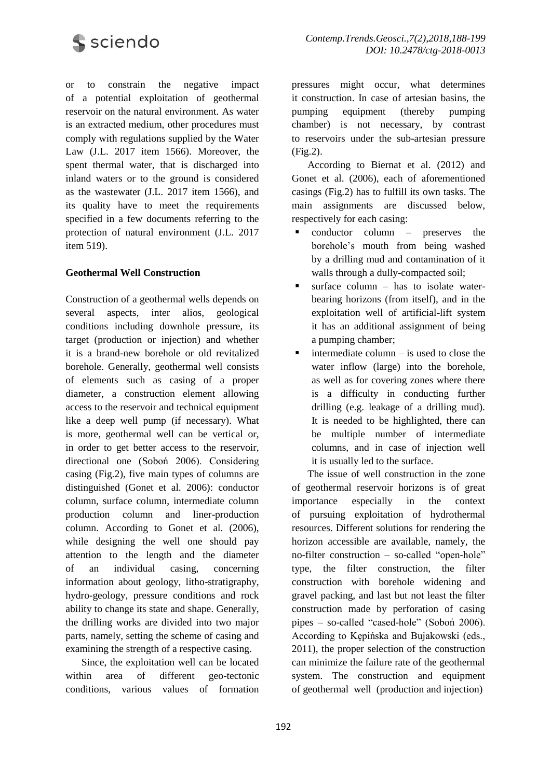

or to constrain the negative impact of a potential exploitation of geothermal reservoir on the natural environment. As water is an extracted medium, other procedures must comply with regulations supplied by the Water Law (J.L. 2017 item 1566). Moreover, the spent thermal water, that is discharged into inland waters or to the ground is considered as the wastewater (J.L. 2017 item 1566), and its quality have to meet the requirements specified in a few documents referring to the protection of natural environment (J.L. 2017 item 519).

### **Geothermal Well Construction**

Construction of a geothermal wells depends on several aspects, inter alios, geological conditions including downhole pressure, its target (production or injection) and whether it is a brand-new borehole or old revitalized borehole. Generally, geothermal well consists of elements such as casing of a proper diameter, a construction element allowing access to the reservoir and technical equipment like a deep well pump (if necessary). What is more, geothermal well can be vertical or, in order to get better access to the reservoir, directional one (Soboń 2006). Considering casing (Fig.2), five main types of columns are distinguished (Gonet et al. 2006): conductor column, surface column, intermediate column production column and liner-production column. According to Gonet et al. (2006), while designing the well one should pay attention to the length and the diameter of an individual casing, concerning information about geology, litho-stratigraphy, hydro-geology, pressure conditions and rock ability to change its state and shape. Generally, the drilling works are divided into two major parts, namely, setting the scheme of casing and examining the strength of a respective casing.

Since, the exploitation well can be located within area of different geo-tectonic conditions, various values of formation pressures might occur, what determines it construction. In case of artesian basins, the pumping equipment (thereby pumping chamber) is not necessary, by contrast to reservoirs under the sub-artesian pressure (Fig.2).

According to Biernat et al. (2012) and Gonet et al. (2006), each of aforementioned casings (Fig.2) has to fulfill its own tasks. The main assignments are discussed below, respectively for each casing:

- conductor column preserves the borehole's mouth from being washed by a drilling mud and contamination of it walls through a dully-compacted soil;
- $\blacksquare$  surface column has to isolate waterbearing horizons (from itself), and in the exploitation well of artificial-lift system it has an additional assignment of being a pumping chamber;
- intermediate column is used to close the water inflow (large) into the borehole, as well as for covering zones where there is a difficulty in conducting further drilling (e.g. leakage of a drilling mud). It is needed to be highlighted, there can be multiple number of intermediate columns, and in case of injection well it is usually led to the surface.

The issue of well construction in the zone of geothermal reservoir horizons is of great importance especially in the context of pursuing exploitation of hydrothermal resources. Different solutions for rendering the horizon accessible are available, namely, the no-filter construction – so-called "open-hole" type, the filter construction, the filter construction with borehole widening and gravel packing, and last but not least the filter construction made by perforation of casing pipes – so-called "cased-hole" (Soboń 2006). According to Kępińska and Bujakowski (eds., 2011), the proper selection of the construction can minimize the failure rate of the geothermal system. The construction and equipment of geothermal well (production and injection)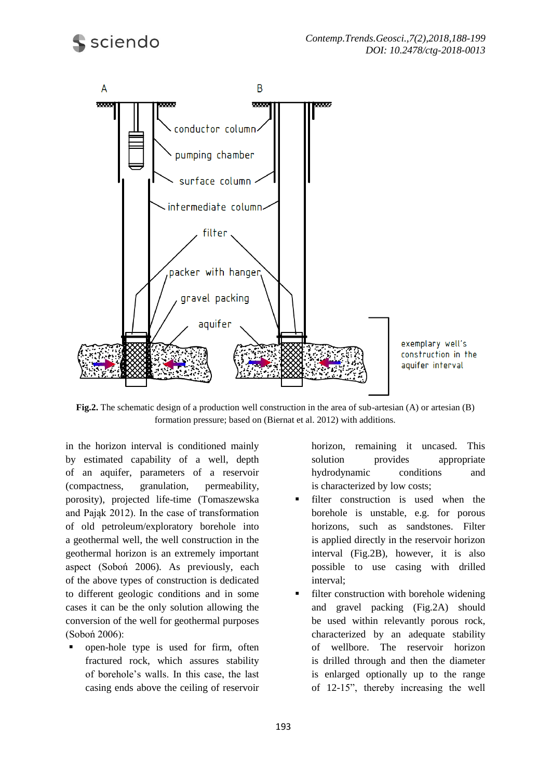

exemplary well's construction in the aquifer interval

**Fig.2.** The schematic design of a production well construction in the area of sub-artesian (A) or artesian (B) formation pressure; based on (Biernat et al. 2012) with additions.

in the horizon interval is conditioned mainly by estimated capability of a well, depth of an aquifer, parameters of a reservoir (compactness, granulation, permeability, porosity), projected life-time (Tomaszewska and Pająk 2012). In the case of transformation of old petroleum/exploratory borehole into a geothermal well, the well construction in the geothermal horizon is an extremely important aspect (Soboń 2006). As previously, each of the above types of construction is dedicated to different geologic conditions and in some cases it can be the only solution allowing the conversion of the well for geothermal purposes (Soboń 2006):

 open-hole type is used for firm, often fractured rock, which assures stability of borehole's walls. In this case, the last casing ends above the ceiling of reservoir

horizon, remaining it uncased. This solution provides appropriate hydrodynamic conditions and is characterized by low costs;

- filter construction is used when the borehole is unstable, e.g. for porous horizons, such as sandstones. Filter is applied directly in the reservoir horizon interval (Fig.2B), however, it is also possible to use casing with drilled interval;
- filter construction with borehole widening and gravel packing (Fig.2A) should be used within relevantly porous rock, characterized by an adequate stability of wellbore. The reservoir horizon is drilled through and then the diameter is enlarged optionally up to the range of 12-15", thereby increasing the well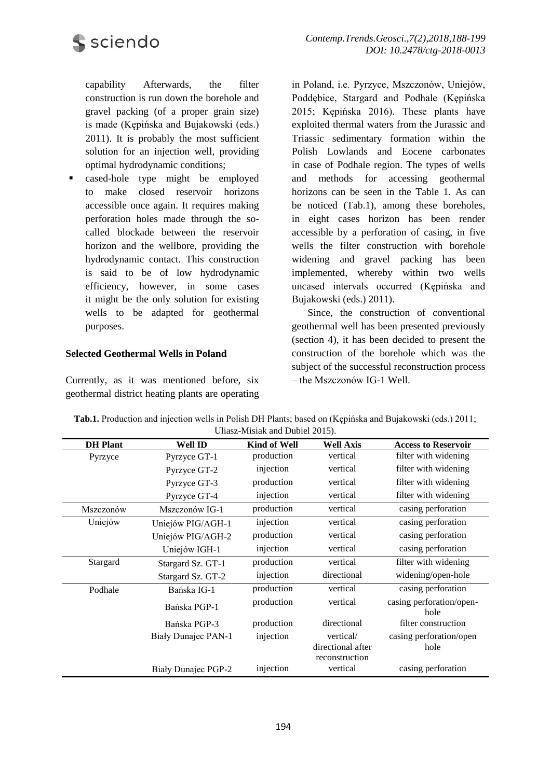**S** sciendo

capability Afterwards, the filter construction is run down the borehole and gravel packing (of a proper grain size) is made (Kępińska and Bujakowski (eds.) 2011). It is probably the most sufficient solution for an injection well, providing optimal hydrodynamic conditions;

**Exercise** cased-hole type might be employed to make closed reservoir horizons accessible once again. It requires making perforation holes made through the socalled blockade between the reservoir horizon and the wellbore, providing the hydrodynamic contact. This construction is said to be of low hydrodynamic efficiency, however, in some cases it might be the only solution for existing wells to be adapted for geothermal purposes.

### **Selected Geothermal Wells in Poland**

Currently, as it was mentioned before, six geothermal district heating plants are operating

in Poland, i.e. Pyrzyce, Mszczonów, Uniejów, Poddębice, Stargard and Podhale (Kępińska 2015; Kępińska 2016). These plants have exploited thermal waters from the Jurassic and Triassic sedimentary formation within the Polish Lowlands and Eocene carbonates in case of Podhale region. The types of wells and methods for accessing geothermal horizons can be seen in the Table 1. As can be noticed (Tab.1), among these boreholes, in eight cases horizon has been render accessible by a perforation of casing, in five wells the filter construction with borehole widening and gravel packing has been implemented, whereby within two wells uncased intervals occurred (Kępińska and Bujakowski (eds.) 2011).

Since, the construction of conventional geothermal well has been presented previously (section 4), it has been decided to present the construction of the borehole which was the subject of the successful reconstruction process – the Mszczonów IG-1 Well.

| <b>DH</b> Plant | <b>Well ID</b>             | <b>Kind of Well</b> | <b>Well Axis</b>               | <b>Access to Reservoir</b>       |
|-----------------|----------------------------|---------------------|--------------------------------|----------------------------------|
| Pyrzyce         | Pyrzyce GT-1               | production          | vertical                       | filter with widening             |
|                 | Pyrzyce GT-2               | injection           | vertical                       | filter with widening             |
|                 | Pyrzyce GT-3               | production          | vertical                       | filter with widening             |
|                 | Pyrzyce GT-4               | injection           | vertical                       | filter with widening             |
| Mszczonów       | Mszczonów IG-1             | production          | vertical                       | casing perforation               |
| Uniejów         | Uniejów PIG/AGH-1          | injection           | vertical                       | casing perforation               |
|                 | Uniejów PIG/AGH-2          | production          | vertical                       | casing perforation               |
|                 | Uniejów IGH-1              | injection           | vertical                       | casing perforation               |
| Stargard        | Stargard Sz. GT-1          | production          | vertical                       | filter with widening             |
|                 | Stargard Sz. GT-2          | injection           | directional                    | widening/open-hole               |
| Podhale         | Bańska IG-1                | production          | vertical                       | casing perforation               |
|                 | Bańska PGP-1               | production          | vertical                       | casing perforation/open-<br>hole |
|                 | Bańska PGP-3               | production          | directional                    | filter construction              |
|                 | Biały Dunajec PAN-1        | injection           | vertical/<br>directional after | casing perforation/open<br>hole  |
|                 |                            |                     | reconstruction                 |                                  |
|                 | <b>Biały Dunajec PGP-2</b> | injection           | vertical                       | casing perforation               |

**Tab.1.** Production and injection wells in Polish DH Plants; based on (Kępińska and Bujakowski (eds.) 2011; Uliasz-Misiak and Dubiel 2015).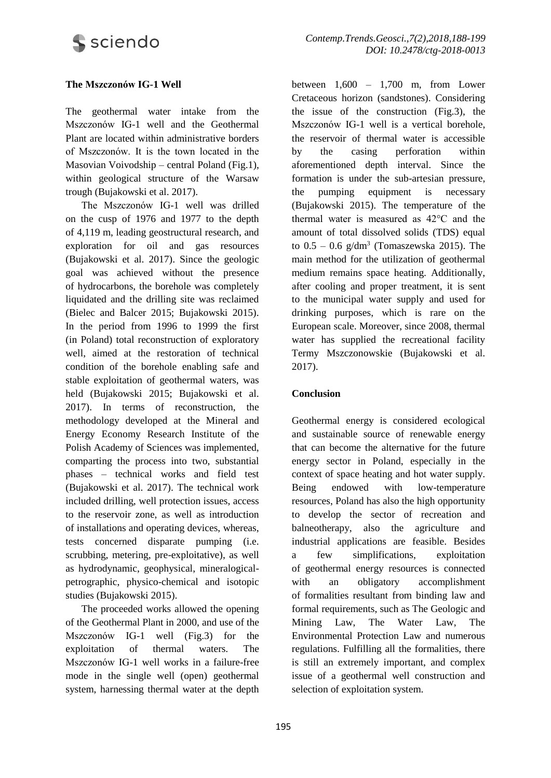### **The Mszczonów IG-1 Well**

The geothermal water intake from the Mszczonów IG-1 well and the Geothermal Plant are located within administrative borders of Mszczonów. It is the town located in the Masovian Voivodship – central Poland (Fig.1), within geological structure of the Warsaw trough (Bujakowski et al. 2017).

The Mszczonów IG-1 well was drilled on the cusp of 1976 and 1977 to the depth of 4,119 m, leading geostructural research, and exploration for oil and gas resources (Bujakowski et al. 2017). Since the geologic goal was achieved without the presence of hydrocarbons, the borehole was completely liquidated and the drilling site was reclaimed (Bielec and Balcer 2015; Bujakowski 2015). In the period from 1996 to 1999 the first (in Poland) total reconstruction of exploratory well, aimed at the restoration of technical condition of the borehole enabling safe and stable exploitation of geothermal waters, was held (Bujakowski 2015; Bujakowski et al. 2017). In terms of reconstruction, the methodology developed at the Mineral and Energy Economy Research Institute of the Polish Academy of Sciences was implemented, comparting the process into two, substantial phases – technical works and field test (Bujakowski et al. 2017). The technical work included drilling, well protection issues, access to the reservoir zone, as well as introduction of installations and operating devices, whereas, tests concerned disparate pumping (i.e. scrubbing, metering, pre-exploitative), as well as hydrodynamic, geophysical, mineralogicalpetrographic, physico-chemical and isotopic studies (Bujakowski 2015).

The proceeded works allowed the opening of the Geothermal Plant in 2000, and use of the Mszczonów IG-1 well (Fig.3) for the exploitation of thermal waters. The Mszczonów IG-1 well works in a failure-free mode in the single well (open) geothermal system, harnessing thermal water at the depth

between  $1,600 - 1,700$  m, from Lower Cretaceous horizon (sandstones). Considering the issue of the construction (Fig.3), the Mszczonów IG-1 well is a vertical borehole, the reservoir of thermal water is accessible by the casing perforation within aforementioned depth interval. Since the formation is under the sub-artesian pressure, the pumping equipment is necessary (Bujakowski 2015). The temperature of the thermal water is measured as 42°C and the amount of total dissolved solids (TDS) equal to  $0.5 - 0.6$  g/dm<sup>3</sup> (Tomaszewska 2015). The main method for the utilization of geothermal medium remains space heating. Additionally, after cooling and proper treatment, it is sent to the municipal water supply and used for drinking purposes, which is rare on the European scale. Moreover, since 2008, thermal water has supplied the recreational facility Termy Mszczonowskie (Bujakowski et al. 2017).

### **Conclusion**

Geothermal energy is considered ecological and sustainable source of renewable energy that can become the alternative for the future energy sector in Poland, especially in the context of space heating and hot water supply. Being endowed with low-temperature resources, Poland has also the high opportunity to develop the sector of recreation and balneotherapy, also the agriculture and industrial applications are feasible. Besides a few simplifications, exploitation of geothermal energy resources is connected with an obligatory accomplishment of formalities resultant from binding law and formal requirements, such as The Geologic and Mining Law, The Water Law, The Environmental Protection Law and numerous regulations. Fulfilling all the formalities, there is still an extremely important, and complex issue of a geothermal well construction and selection of exploitation system.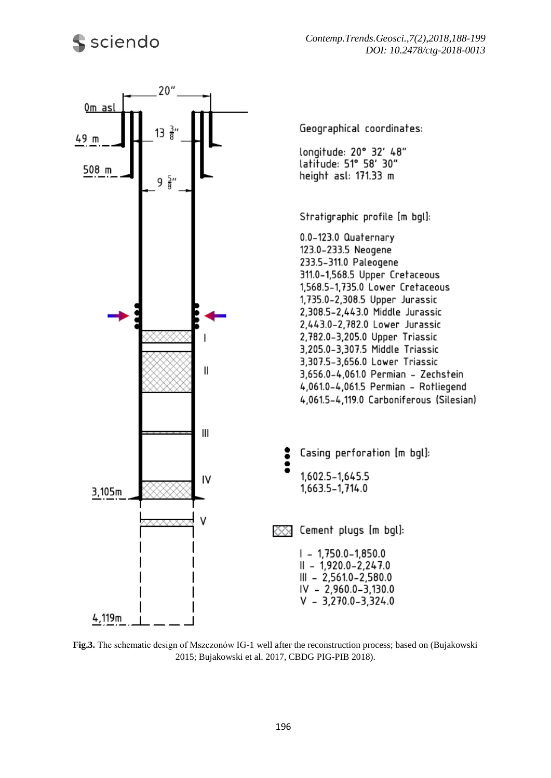

**Fig.3.** The schematic design of Mszczonów IG-1 well after the reconstruction process; based on (Bujakowski 2015; Bujakowski et al. 2017, CBDG PIG-PIB 2018).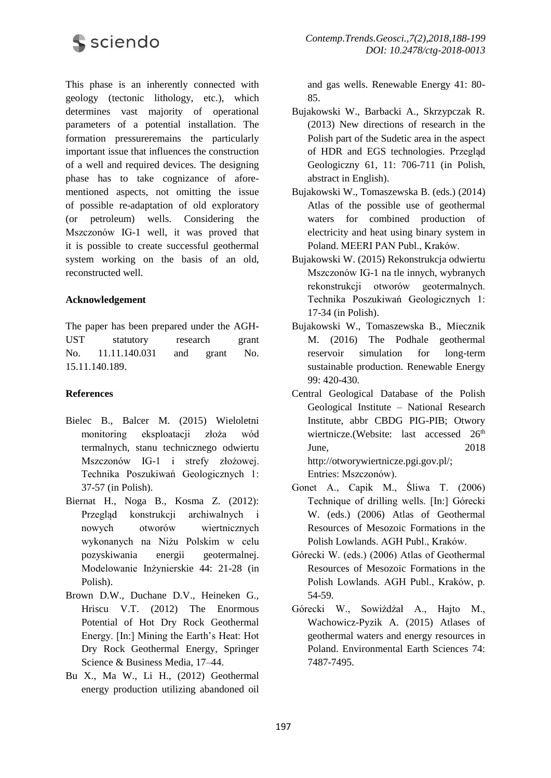

This phase is an inherently connected with geology (tectonic lithology, etc.), which determines vast majority of operational parameters of a potential installation. The formation pressureremains the particularly important issue that influences the construction of a well and required devices. The designing phase has to take cognizance of aforementioned aspects, not omitting the issue of possible re-adaptation of old exploratory (or petroleum) wells. Considering the Mszczonów IG-1 well, it was proved that it is possible to create successful geothermal system working on the basis of an old, reconstructed well.

#### **Acknowledgement**

The paper has been prepared under the AGH-UST statutory research grant No. 11.11.140.031 and grant No. 15.11.140.189.

#### **References**

- Bielec B., Balcer M. (2015) Wieloletni monitoring eksploatacji złoża wód termalnych, stanu technicznego odwiertu Mszczonów IG-1 i strefy złożowej. Technika Poszukiwań Geologicznych 1: 37-57 (in Polish).
- Biernat H., Noga B., Kosma Z. (2012): Przegląd konstrukcji archiwalnych i nowych otworów wiertnicznych wykonanych na Niżu Polskim w celu pozyskiwania energii geotermalnej. Modelowanie Inżynierskie 44: 21-28 (in Polish).
- Brown D.W., Duchane D.V., Heineken G., Hriscu V.T. (2012) The Enormous Potential of Hot Dry Rock Geothermal Energy. [In:] Mining the Earth's Heat: Hot Dry Rock Geothermal Energy, Springer Science & Business Media, 17–44.
- Bu X., Ma W., Li H., (2012) Geothermal energy production utilizing abandoned oil

and gas wells. Renewable Energy 41: 80- 85.

- Bujakowski W., Barbacki A., Skrzypczak R. (2013) New directions of research in the Polish part of the Sudetic area in the aspect of HDR and EGS technologies. Przegląd Geologiczny 61, 11: 706-711 (in Polish, abstract in English).
- Bujakowski W., Tomaszewska B. (eds.) (2014) Atlas of the possible use of geothermal waters for combined production of electricity and heat using binary system in Poland. MEERI PAN Publ., Kraków.
- Bujakowski W. (2015) Rekonstrukcja odwiertu Mszczonów IG-1 na tle innych, wybranych rekonstrukcji otworów geotermalnych. Technika Poszukiwań Geologicznych 1: 17-34 (in Polish).
- Bujakowski W., Tomaszewska B., Miecznik M. (2016) The Podhale geothermal reservoir simulation for long-term sustainable production. Renewable Energy 99: 420-430.
- Central Geological Database of the Polish Geological Institute – National Research Institute, abbr CBDG PIG-PIB; Otwory wiertnicze.(Website: last accessed 26<sup>th</sup> June, 2018 http://otworywiertnicze.pgi.gov.pl/; Entries: Mszczonów).
- Gonet A., Capik M., Śliwa T. (2006) Technique of drilling wells. [In:] Górecki W. (eds.) (2006) Atlas of Geothermal Resources of Mesozoic Formations in the Polish Lowlands. AGH Publ., Kraków.
- Górecki W. (eds.) (2006) Atlas of Geothermal Resources of Mesozoic Formations in the Polish Lowlands. AGH Publ., Kraków, p. 54-59.
- Górecki W., Sowiżdżał A., Hajto M., Wachowicz-Pyzik A. (2015) Atlases of geothermal waters and energy resources in Poland. Environmental Earth Sciences 74: 7487-7495.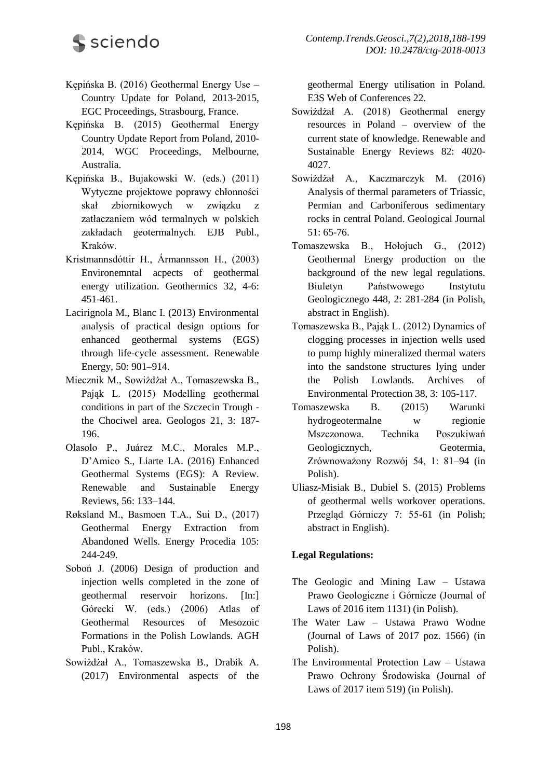- Kępińska B. (2016) Geothermal Energy Use Country Update for Poland, 2013-2015, EGC Proceedings, Strasbourg, France.
- Kępińska B. (2015) Geothermal Energy Country Update Report from Poland, 2010- 2014, WGC Proceedings, Melbourne, Australia.
- Kępińska B., Bujakowski W. (eds.) (2011) Wytyczne projektowe poprawy chłonności skał zbiornikowych w związku z zatłaczaniem wód termalnych w polskich zakładach geotermalnych. EJB Publ., Kraków.
- Kristmannsdóttir H., Ármannsson H., (2003) Environemntal acpects of geothermal energy utilization. Geothermics 32, 4-6: 451-461.
- Lacirignola M., Blanc I. (2013) Environmental analysis of practical design options for enhanced geothermal systems (EGS) through life-cycle assessment. Renewable Energy, 50: 901–914.
- Miecznik M., Sowiżdżał A., Tomaszewska B., Pająk L. (2015) Modelling geothermal conditions in part of the Szczecin Trough the Chociwel area. Geologos 21, 3: 187- 196.
- Olasolo P., Juárez M.C., Morales M.P., D'Amico S., Liarte I.A. (2016) Enhanced Geothermal Systems (EGS): A Review. Renewable and Sustainable Energy Reviews, 56: 133–144.
- Røksland M., Basmoen T.A., Sui D., (2017) Geothermal Energy Extraction from Abandoned Wells. Energy Procedia 105: 244-249.
- Soboń J. (2006) Design of production and injection wells completed in the zone of geothermal reservoir horizons. [In:] Górecki W. (eds.) (2006) Atlas of Geothermal Resources of Mesozoic Formations in the Polish Lowlands. AGH Publ., Kraków.
- Sowiżdżał A., Tomaszewska B., Drabik A. (2017) Environmental aspects of the

geothermal Energy utilisation in Poland. E3S Web of Conferences 22.

- Sowiżdżał A. (2018) Geothermal energy resources in Poland – overview of the current state of knowledge. Renewable and Sustainable Energy Reviews 82: 4020- 4027.
- Sowiżdżał A., Kaczmarczyk M. (2016) Analysis of thermal parameters of Triassic, Permian and Carboniferous sedimentary rocks in central Poland. Geological Journal 51: 65-76.
- Tomaszewska B., Hołojuch G., (2012) Geothermal Energy production on the background of the new legal regulations. Biuletyn Państwowego Instytutu Geologicznego 448, 2: 281-284 (in Polish, abstract in English).
- Tomaszewska B., Pająk L. (2012) Dynamics of clogging processes in injection wells used to pump highly mineralized thermal waters into the sandstone structures lying under the Polish Lowlands. Archives of Environmental Protection 38, 3: 105-117.
- Tomaszewska B. (2015) Warunki hydrogeotermalne w regionie Mszczonowa. Technika Poszukiwań Geologicznych, Geotermia, Zrównoważony Rozwój 54, 1: 81–94 (in Polish).
- Uliasz-Misiak B., Dubiel S. (2015) Problems of geothermal wells workover operations. Przegląd Górniczy 7: 55-61 (in Polish; abstract in English).

## **Legal Regulations:**

- The Geologic and Mining Law Ustawa Prawo Geologiczne i Górnicze (Journal of Laws of 2016 item 1131) (in Polish).
- The Water Law Ustawa Prawo Wodne (Journal of Laws of 2017 poz. 1566) (in Polish).
- The Environmental Protection Law Ustawa Prawo Ochrony Środowiska (Journal of Laws of 2017 item 519) (in Polish).